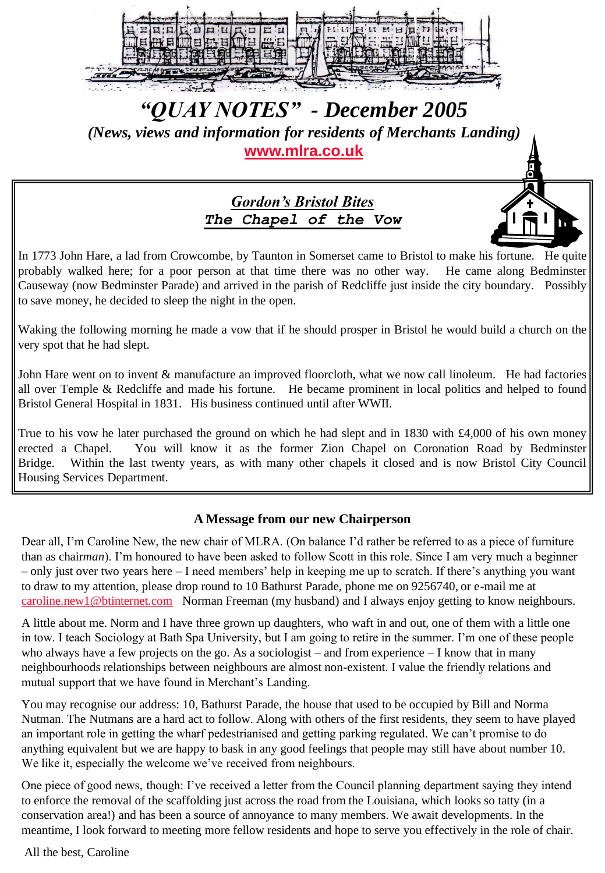

# *"QUAY NOTES" - December 2005*

*(News, views and information for residents of Merchants Landing)*  **[www.mlra.co.uk](http://www.mlra.co.uk/)**

## *Gordon's Bristol Bites The Chapel of the Vow*

In 1773 John Hare, a lad from Crowcombe, by Taunton in Somerset came to Bristol to make his fortune. He quite probably walked here; for a poor person at that time there was no other way. He came along Bedminster Causeway (now Bedminster Parade) and arrived in the parish of Redcliffe just inside the city boundary. Possibly to save money, he decided to sleep the night in the open.

Waking the following morning he made a vow that if he should prosper in Bristol he would build a church on the very spot that he had slept.

John Hare went on to invent & manufacture an improved floorcloth, what we now call linoleum. He had factories all over Temple & Redcliffe and made his fortune. He became prominent in local politics and helped to found Bristol General Hospital in 1831. His business continued until after WWII.

True to his vow he later purchased the ground on which he had slept and in 1830 with £4,000 of his own money erected a Chapel. You will know it as the former Zion Chapel on Coronation Road by Bedminster Bridge. Within the last twenty years, as with many other chapels it closed and is now Bristol City Council Housing Services Department.

## **A Message from our new Chairperson**

Dear all, I'm Caroline New, the new chair of MLRA. (On balance I'd rather be referred to as a piece of furniture than as chair*man*). I"m honoured to have been asked to follow Scott in this role. Since I am very much a beginner – only just over two years here – I need members" help in keeping me up to scratch. If there"s anything you want to draw to my attention, please drop round to 10 Bathurst Parade, phone me on 9256740, or e-mail me at [caroline.new1@btinternet.com](mailto:caroline.new1@btinternet.com) Norman Freeman (my husband) and I always enjoy getting to know neighbours.

A little about me. Norm and I have three grown up daughters, who waft in and out, one of them with a little one in tow. I teach Sociology at Bath Spa University, but I am going to retire in the summer. I"m one of these people who always have a few projects on the go. As a sociologist – and from experience – I know that in many neighbourhoods relationships between neighbours are almost non-existent. I value the friendly relations and mutual support that we have found in Merchant's Landing.

You may recognise our address: 10, Bathurst Parade, the house that used to be occupied by Bill and Norma Nutman. The Nutmans are a hard act to follow. Along with others of the first residents, they seem to have played an important role in getting the wharf pedestrianised and getting parking regulated. We can"t promise to do anything equivalent but we are happy to bask in any good feelings that people may still have about number 10. We like it, especially the welcome we've received from neighbours.

One piece of good news, though: I"ve received a letter from the Council planning department saying they intend to enforce the removal of the scaffolding just across the road from the Louisiana, which looks so tatty (in a conservation area!) and has been a source of annoyance to many members. We await developments. In the meantime, I look forward to meeting more fellow residents and hope to serve you effectively in the role of chair.

All the best, Caroline